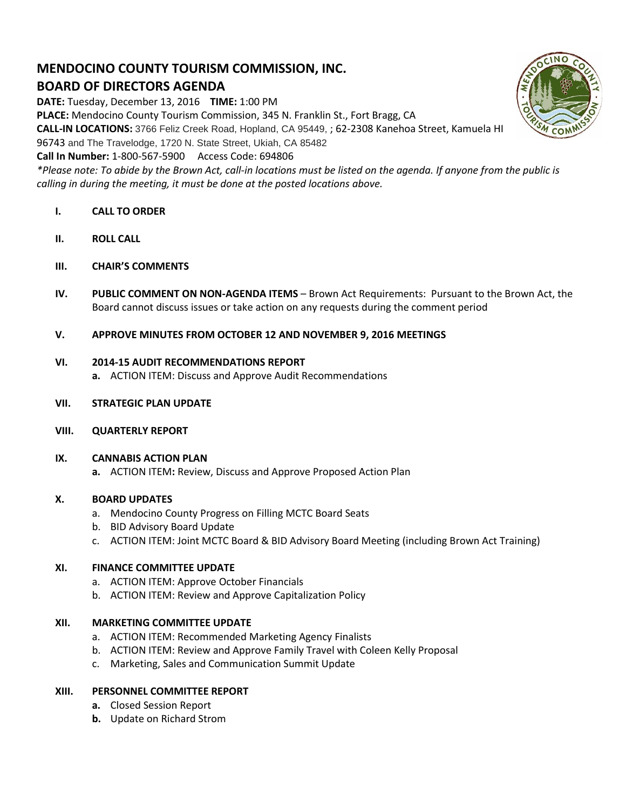# **MENDOCINO COUNTY TOURISM COMMISSION, INC. BOARD OF DIRECTORS AGENDA**

**DATE:** Tuesday, December 13, 2016 **TIME:** 1:00 PM

**PLACE:** Mendocino County Tourism Commission, 345 N. Franklin St., Fort Bragg, CA

**CALL-IN LOCATIONS:** 3766 Feliz Creek Road, Hopland, CA 95449, ; 62-2308 Kanehoa Street, Kamuela HI

96743 and The Travelodge, 1720 N. State Street, Ukiah, CA 85482

# **Call In Number:** 1-800-567-5900 Access Code: 694806

*\*Please note: To abide by the Brown Act, call-in locations must be listed on the agenda. If anyone from the public is calling in during the meeting, it must be done at the posted locations above.*

- **I. CALL TO ORDER**
- **II. ROLL CALL**
- **III. CHAIR'S COMMENTS**
- **IV. PUBLIC COMMENT ON NON-AGENDA ITEMS** Brown Act Requirements: Pursuant to the Brown Act, the Board cannot discuss issues or take action on any requests during the comment period

## **V. APPROVE MINUTES FROM OCTOBER 12 AND NOVEMBER 9, 2016 MEETINGS**

## **VI. 2014-15 AUDIT RECOMMENDATIONS REPORT**

- **a.** ACTION ITEM: Discuss and Approve Audit Recommendations
- **VII. STRATEGIC PLAN UPDATE**
- **VIII. QUARTERLY REPORT**

#### **IX. CANNABIS ACTION PLAN**

**a.** ACTION ITEM**:** Review, Discuss and Approve Proposed Action Plan

#### **X. BOARD UPDATES**

- a. Mendocino County Progress on Filling MCTC Board Seats
- b. BID Advisory Board Update
- c. ACTION ITEM: Joint MCTC Board & BID Advisory Board Meeting (including Brown Act Training)

## **XI. FINANCE COMMITTEE UPDATE**

- a. ACTION ITEM: Approve October Financials
- b. ACTION ITEM: Review and Approve Capitalization Policy

# **XII. MARKETING COMMITTEE UPDATE**

- a. ACTION ITEM: Recommended Marketing Agency Finalists
- b. ACTION ITEM: Review and Approve Family Travel with Coleen Kelly Proposal
- c. Marketing, Sales and Communication Summit Update

#### **XIII. PERSONNEL COMMITTEE REPORT**

- **a.** Closed Session Report
- **b.** Update on Richard Strom